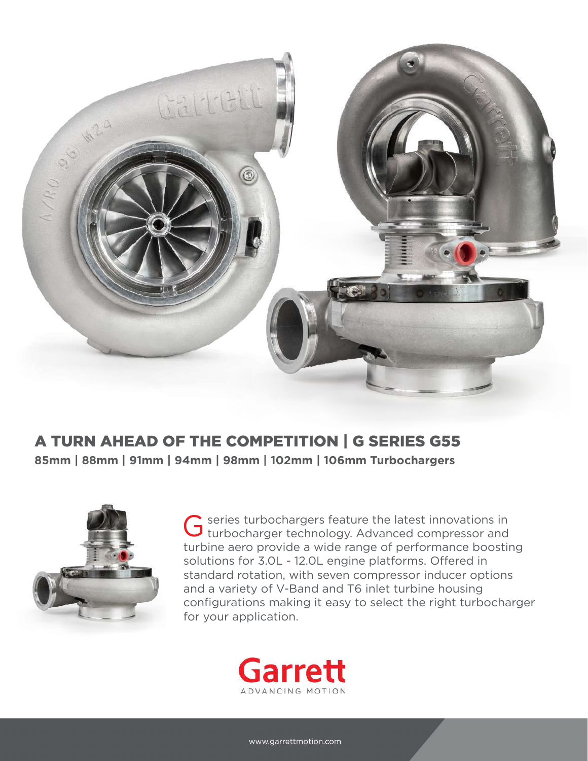

# A TURN AHEAD OF THE COMPETITION | G SERIES G55

**85mm | 88mm | 91mm | 94mm | 98mm | 102mm | 106mm Turbochargers**



series turbochargers feature the latest innovations in G series turbochargers feature the latest innovations in turbocharger technology. Advanced compressor and turbine aero provide a wide range of performance boosting solutions for 3.0L - 12.0L engine platforms. Offered in standard rotation, with seven compressor inducer options and a variety of V-Band and T6 inlet turbine housing configurations making it easy to select the right turbocharger for your application.

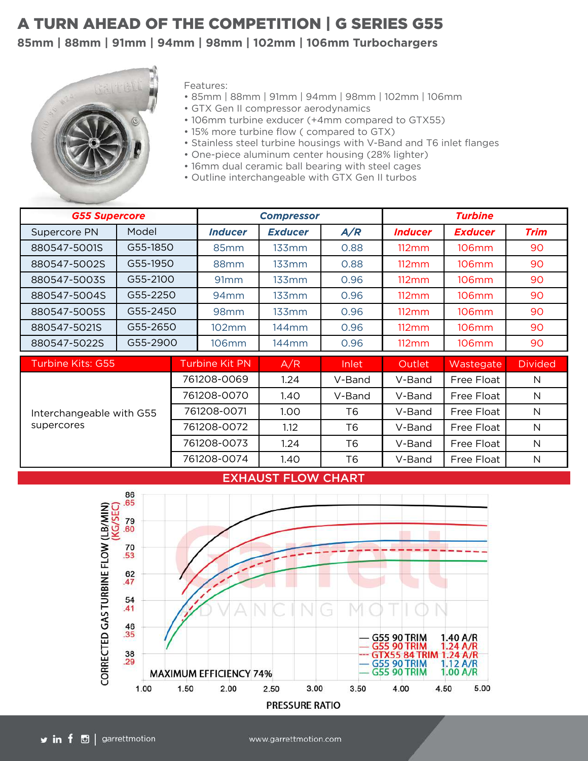## A TURN AHEAD OF THE COMPETITION | G SERIES G55

### **85mm | 88mm | 91mm | 94mm | 98mm | 102mm | 106mm Turbochargers**



Features:

- 85mm | 88mm | 91mm | 94mm | 98mm | 102mm | 106mm
- GTX Gen II compressor aerodynamics
- 106mm turbine exducer (+4mm compared to GTX55)
- 15% more turbine flow ( compared to GTX)
- Stainless steel turbine housings with V-Band and T6 inlet flanges
- One-piece aluminum center housing (28% lighter)
- 16mm dual ceramic ball bearing with steel cages
- Outline interchangeable with GTX Gen II turbos

| <b>G55 Supercore</b>                   |          |             | <b>Compressor</b>     |                   |                | <b>Turbine</b>  |                   |                |
|----------------------------------------|----------|-------------|-----------------------|-------------------|----------------|-----------------|-------------------|----------------|
| Supercore PN                           | Model    |             | <b>Inducer</b>        | <b>Exducer</b>    | A/R            | <b>Inducer</b>  | <b>Exducer</b>    | Trim           |
| 880547-5001S                           | G55-1850 |             | 85mm                  | 133mm             | 0.88           | $112 \text{mm}$ | 106mm             | 90             |
| 880547-5002S                           | G55-1950 |             | 88mm                  | 133mm             | 0.88           | 112mm           | 106 <sub>mm</sub> | 90             |
| 880547-5003S                           | G55-2100 |             | 91 <sub>mm</sub>      | 133mm             | 0.96           | 112mm           | 106mm             | 90             |
| 880547-5004S                           | G55-2250 |             | $94$ mm               | 133mm             | 0.96           | 112mm           | 106mm             | 90             |
| 880547-5005S                           | G55-2450 |             | 98 <sub>mm</sub>      | 133mm             | 0.96           | 112mm           | 106mm             | 90             |
| 880547-5021S                           | G55-2650 |             | 102mm                 | 144 <sub>mm</sub> | 0.96           | 112mm           | 106 <sub>mm</sub> | 90             |
| 880547-5022S                           | G55-2900 |             | 106mm                 | 144mm             | 0.96           | 112mm           | 106mm             | 90             |
| Turbine Kits: G55                      |          |             | <b>Turbine Kit PN</b> | A/R               | Inlet          | Outlet          | Wastegate         | <b>Divided</b> |
| Interchangeable with G55<br>supercores |          |             | 761208-0069           | 1.24              | V-Band         | V-Band          | Free Float        | N              |
|                                        |          | 761208-0070 |                       | 1.40              | V-Band         | V-Band          | Free Float        | N              |
|                                        |          | 761208-0071 |                       | 1.00              | Т6             | V-Band          | Free Float        | N              |
|                                        |          | 761208-0072 |                       | 1.12              | Т6             | V-Band          | Free Float        | N              |
|                                        |          | 761208-0073 |                       | 1.24              | T <sub>6</sub> | V-Band          | Free Float        | N              |
|                                        |          | 761208-0074 |                       | 1.40              | T <sub>6</sub> | V-Band          | Free Float        | N              |

#### EXHAUST FLOW CHART